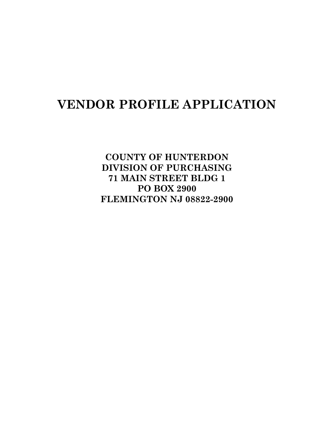# **VENDOR PROFILE APPLICATION**

**COUNTY OF HUNTERDON DIVISION OF PURCHASING 71 MAIN STREET BLDG 1 PO BOX 2900 FLEMINGTON NJ 08822-2900**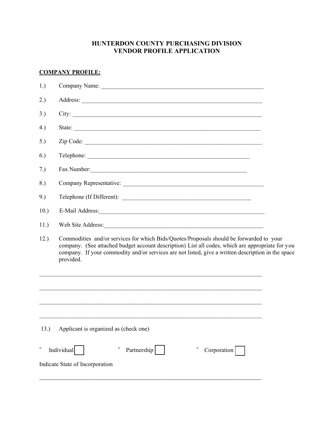# **HUNTERDON COUNTY PURCHASING DIVISION VENDOR PROFILE APPLICATION**

# **COMPANY PROFILE:**

| 1.)  |                                                                                                                                                                                                                                                                                                                |  |
|------|----------------------------------------------------------------------------------------------------------------------------------------------------------------------------------------------------------------------------------------------------------------------------------------------------------------|--|
| 2.)  |                                                                                                                                                                                                                                                                                                                |  |
| 3.)  |                                                                                                                                                                                                                                                                                                                |  |
| 4.)  | State:                                                                                                                                                                                                                                                                                                         |  |
| 5.)  | Zip Code:                                                                                                                                                                                                                                                                                                      |  |
| 6.)  | Telephone:                                                                                                                                                                                                                                                                                                     |  |
| 7.)  |                                                                                                                                                                                                                                                                                                                |  |
| 8.)  |                                                                                                                                                                                                                                                                                                                |  |
| 9.)  | Telephone (If Different):                                                                                                                                                                                                                                                                                      |  |
| 10.) | E-Mail Address:                                                                                                                                                                                                                                                                                                |  |
| 11.) |                                                                                                                                                                                                                                                                                                                |  |
| 12.) | Commodities and/or services for which Bids/Quotes/Proposals should be forwarded to your<br>company. (See attached budget account description) List all codes, which are appropriate for you<br>company. If your commodity and/or services are not listed, give a written description in the space<br>provided. |  |
|      | <u> 1989 - Jan James James Barnett, amerikan berlindar (h. 1989).</u>                                                                                                                                                                                                                                          |  |
|      |                                                                                                                                                                                                                                                                                                                |  |
|      |                                                                                                                                                                                                                                                                                                                |  |
| 13.) | Applicant is organized as (check one)                                                                                                                                                                                                                                                                          |  |
|      | Individual<br>Partnership<br>Corporation                                                                                                                                                                                                                                                                       |  |
|      | Indicate State of Incorporation                                                                                                                                                                                                                                                                                |  |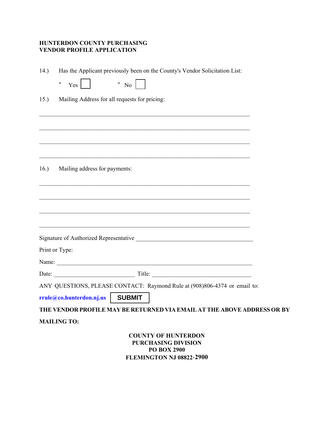# **HUNTERDON COUNTY PURCHASING VENDOR PROFILE APPLICATION**

| 14.)                                                                                                              | Has the Applicant previously been on the County's Vendor Solicitation List: |  |  |  |
|-------------------------------------------------------------------------------------------------------------------|-----------------------------------------------------------------------------|--|--|--|
|                                                                                                                   | $\sim$ No  <br>$\sim$ Yes                                                   |  |  |  |
| 15.                                                                                                               | Mailing Address for all requests for pricing:                               |  |  |  |
|                                                                                                                   |                                                                             |  |  |  |
|                                                                                                                   |                                                                             |  |  |  |
|                                                                                                                   |                                                                             |  |  |  |
|                                                                                                                   |                                                                             |  |  |  |
|                                                                                                                   |                                                                             |  |  |  |
|                                                                                                                   | 16.) Mailing address for payments:                                          |  |  |  |
|                                                                                                                   |                                                                             |  |  |  |
|                                                                                                                   |                                                                             |  |  |  |
|                                                                                                                   |                                                                             |  |  |  |
|                                                                                                                   |                                                                             |  |  |  |
|                                                                                                                   |                                                                             |  |  |  |
|                                                                                                                   | Print or Type:                                                              |  |  |  |
|                                                                                                                   |                                                                             |  |  |  |
|                                                                                                                   |                                                                             |  |  |  |
|                                                                                                                   | ANY QUESTIONS, PLEASE CONTACT: Raymond Rule at (908)806-4374 or email to:   |  |  |  |
|                                                                                                                   | rrule@co.hunterdon.nj.us   SUBMIT                                           |  |  |  |
| THE VENDOR PROFILE MAY BE RETURNED VIA EMAIL AT THE ABOVE ADDRESS OR BY                                           |                                                                             |  |  |  |
| <b>MAILING TO:</b>                                                                                                |                                                                             |  |  |  |
| <b>COUNTY OF HUNTERDON</b><br><b>PURCHASING DIVISION</b><br><b>PO BOX 2900</b><br><b>FLEMINGTON NJ 08822-2900</b> |                                                                             |  |  |  |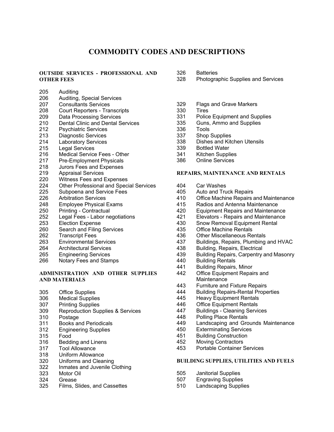# **COMMODITY CODES AND DESCRIPTIONS**

# **OUTSIDE SERVICES - PROFESSIONAL AND OTHER FEES**

- 205 Auditing
- 206 Auditing, Special Services
- 207 Consultants Services<br>208 Court Reporters Trai
- 208 Court Reporters Transcripts<br>209 Data Processing Services
- 209 Data Processing Services<br>210 Dental Clinic and Dental S
- Dental Clinic and Dental Services
- 212 Psychiatric Services<br>213 Diagnostic Services
- 213 Diagnostic Services<br>214 Laboratory Services
- 214 Laboratory Services<br>215 Legal Services
- 215 Legal Services<br>216 Medical Service
- 216 Medical Service Fees Other<br>217 Pre-Employment Physicals
- Pre-Employment Physicals
- 218 Jurors Fees and Expenses
- 219 Appraisal Services<br>220 Witness Fees and I
- 220 Witness Fees and Expenses<br>224 Other Professional and Spec
- 224 Other Professional and Special Services<br>225 Subpoena and Service Fees
- 225 Subpoena and Service Fees<br>226 Arbitration Services
- 226 Arbitration Services<br>248 Employee Physical
- 248 Employee Physical Exams<br>250 Printing Contractual
- 250 Printing Contractual<br>252 Legal Fees Labor ne
- 252 Legal Fees Labor negotiations<br>253 Election Expense
- 253 Election Expense<br>260 Search and Filing
- 260 Search and Filing Services<br>262 Transcript Fees
- **Transcript Fees**
- 263 Environmental Services<br>264 Architectural Services
- Architectural Services
- 265 Engineering Services
- 266 Notary Fees and Stamps

#### **ADMINISTRATION AND OTHER SUPPLIES AND MATERIALS**

- 305 Office Supplies<br>306 Medical Supplie
- 306 Medical Supplies<br>307 Printing Supplies
- **Printing Supplies**
- 309 Reproduction Supplies & Services
- 310 Postage<br>311 Books ar
- **Books and Periodicals**
- 312 Engineering Supplies
- 315 Food
- Bedding and Linens
- 317 Tool Allowance
- 318 Uniform Allowance<br>320 Uniforms and Clear
- Uniforms and Cleaning
- 322 Inmates and Juvenile Clothing
- 323 Motor Oil
- Grease
- 325 Films, Slides, and Cassettes
- 326 Batteries<br>328 Photograi
- Photographic Supplies and Services
- 329 Flags and Grave Markers
- 330 Tires
- 331 Police Equipment and Supplies<br>335 Guns. Ammo and Supplies
- Guns, Ammo and Supplies
- 336 Tools
- 
- 337 Shop Supplies<br>338 Dishes and Kite 338 Dishes and Kitchen Utensils<br>339 Bottled Water
- **Bottled Water**
- 341 Kitchen Supplies
- 386 Online Services

#### **REPAIRS, MAINTENANCE AND RENTALS**

- 404 Car Washes
- 405 Auto and Truck Repairs<br>410 Office Machine Repairs
- 410 Office Machine Repairs and Maintenance<br>415 Radios and Antenna Maintenance
- Radios and Antenna Maintenance
- 420 Equipment Repairs and Maintenance
- 421 Elevators Repairs and Maintenance
- 430 Snow Removal Equipment Rental<br>435 Office Machine Rentals
- 435 Office Machine Rentals<br>436 Other Miscellaneous Re
- **Other Miscellaneous Rentals**
- 437 Buildings, Repairs, Plumbing and HVAC<br>438 Building Repairs, Flectrical
- Building, Repairs, Electrical
- 439 Building Repairs, Carpentry and Masonry
- 440 Building Rentals<br>441 Building Repairs
- 441 Building Repairs, Minor<br>442 Office Equipment Repai
- Office Equipment Repairs and **Maintenance**
- 443 Furniture and Fixture Repairs<br>444 Building Repairs-Rental Prope
- 444 Building Repairs-Rental Properties
- 445 Heavy Equipment Rentals
- 446 Office Equipment Rentals<br>447 Buildings Cleaning Servic
- Buildings Cleaning Services
- 448 Polling Place Rentals
- 449 Landscaping and Grounds Maintenance
- 
- 450 Exterminating Services<br>451 Building Construction
- 451 Building Construction<br>452 Moving Contractors Moving Contractors
- 453 Portable Container Services

#### **BUILDING SUPPLIES, UTILITIES AND FUELS**

- 505 Janitorial Supplies
- 507 Engraving Supplies
- 510 Landscaping Supplies